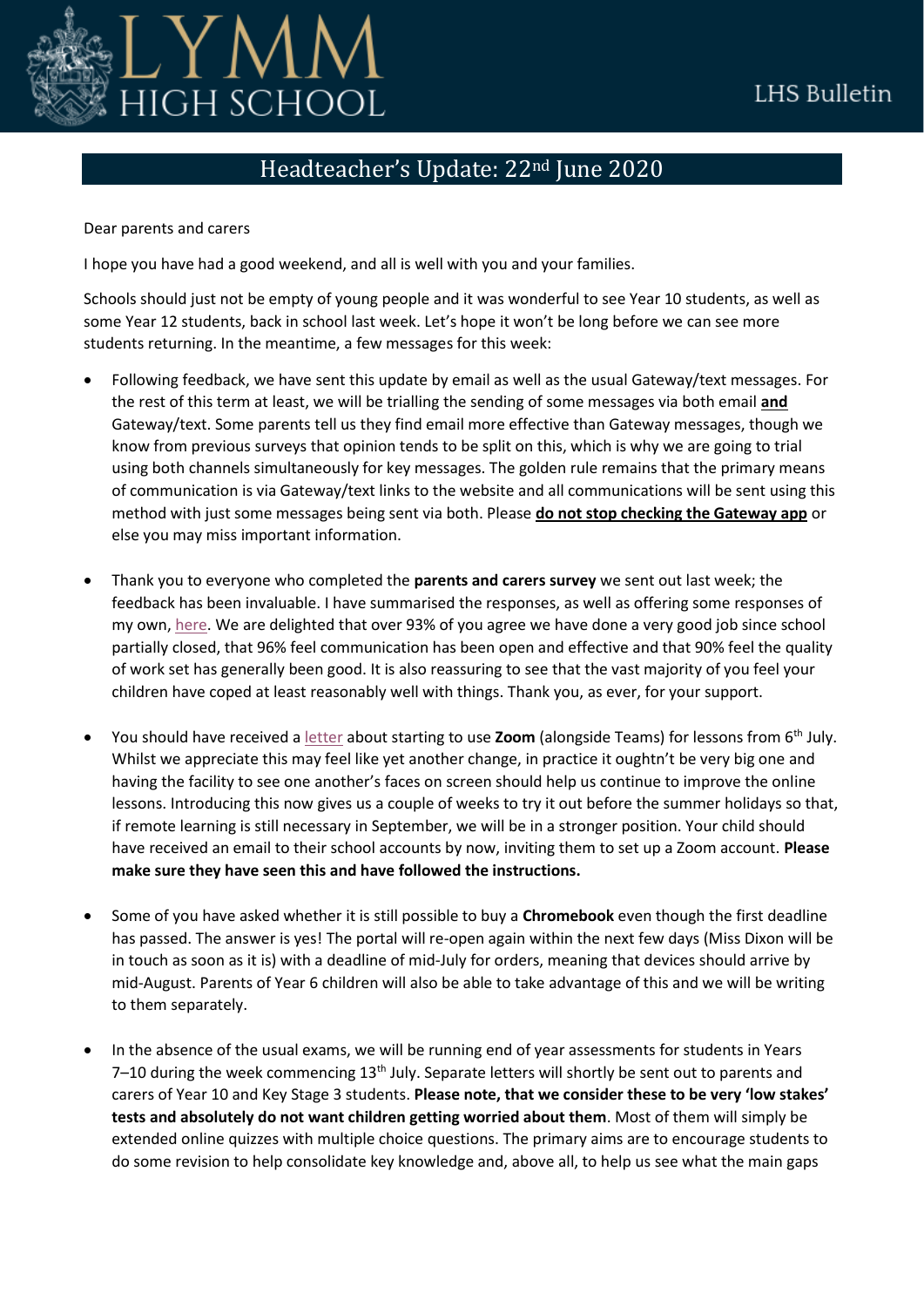

## LHS Bulletin

## Headteacher's Update: 22nd June 2020

Dear parents and carers

I hope you have had a good weekend, and all is well with you and your families.

Schools should just not be empty of young people and it was wonderful to see Year 10 students, as well as some Year 12 students, back in school last week. Let's hope it won't be long before we can see more students returning. In the meantime, a few messages for this week:

- Following feedback, we have sent this update by email as well as the usual Gateway/text messages. For the rest of this term at least, we will be trialling the sending of some messages via both email **and** Gateway/text. Some parents tell us they find email more effective than Gateway messages, though we know from previous surveys that opinion tends to be split on this, which is why we are going to trial using both channels simultaneously for key messages. The golden rule remains that the primary means of communication is via Gateway/text links to the website and all communications will be sent using this method with just some messages being sent via both. Please **do not stop checking the Gateway app** or else you may miss important information.
- Thank you to everyone who completed the **parents and carers survey** we sent out last week; the feedback has been invaluable. I have summarised the responses, as well as offering some responses of my own, [here.](https://www.lymmhigh.org.uk/wp-content/uploads/2020/06/Parent-survey-response-June-2020-v2.pdf) We are delighted that over 93% of you agree we have done a very good job since school partially closed, that 96% feel communication has been open and effective and that 90% feel the quality of work set has generally been good. It is also reassuring to see that the vast majority of you feel your children have coped at least reasonably well with things. Thank you, as ever, for your support.
- You should have received a [letter](https://www.lymmhigh.org.uk/wp-content/uploads/2020/06/Video-function_guide-for-parents-190620.pdf) about starting to use **Zoom** (alongside Teams) for lessons from 6th July. Whilst we appreciate this may feel like yet another change, in practice it oughtn't be very big one and having the facility to see one another's faces on screen should help us continue to improve the online lessons. Introducing this now gives us a couple of weeks to try it out before the summer holidays so that, if remote learning is still necessary in September, we will be in a stronger position. Your child should have received an email to their school accounts by now, inviting them to set up a Zoom account. **Please make sure they have seen this and have followed the instructions.**
- Some of you have asked whether it is still possible to buy a **Chromebook** even though the first deadline has passed. The answer is yes! The portal will re-open again within the next few days (Miss Dixon will be in touch as soon as it is) with a deadline of mid-July for orders, meaning that devices should arrive by mid-August. Parents of Year 6 children will also be able to take advantage of this and we will be writing to them separately.
- In the absence of the usual exams, we will be running end of year assessments for students in Years 7–10 during the week commencing  $13<sup>th</sup>$  July. Separate letters will shortly be sent out to parents and carers of Year 10 and Key Stage 3 students. **Please note, that we consider these to be very 'low stakes' tests and absolutely do not want children getting worried about them**. Most of them will simply be extended online quizzes with multiple choice questions. The primary aims are to encourage students to do some revision to help consolidate key knowledge and, above all, to help us see what the main gaps